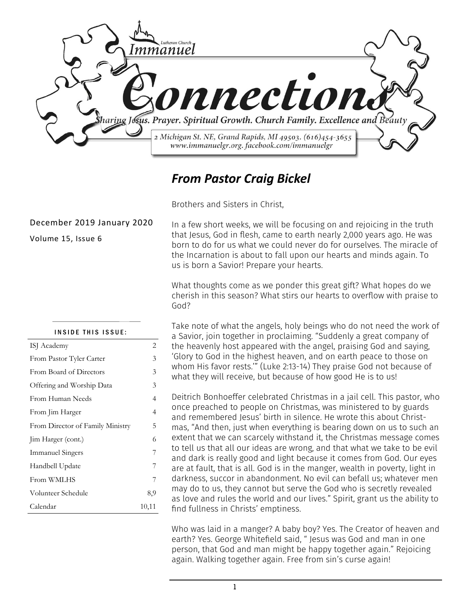

#### *From Pastor Craig Bickel*

Brothers and Sisters in Christ,

In a few short weeks, we will be focusing on and rejoicing in the truth that Jesus, God in flesh, came to earth nearly 2,000 years ago. He was born to do for us what we could never do for ourselves. The miracle of the Incarnation is about to fall upon our hearts and minds again. To us is born a Savior! Prepare your hearts.

What thoughts come as we ponder this great gift? What hopes do we cherish in this season? What stirs our hearts to overflow with praise to God?

Take note of what the angels, holy beings who do not need the work of a Savior, join together in proclaiming. "Suddenly a great company of the heavenly host appeared with the angel, praising God and saying, 'Glory to God in the highest heaven, and on earth peace to those on whom His favor rests.'" (Luke 2:13-14) They praise God not because of what they will receive, but because of how good He is to us!

Deitrich Bonhoeffer celebrated Christmas in a jail cell. This pastor, who once preached to people on Christmas, was ministered to by guards and remembered Jesus' birth in silence. He wrote this about Christmas, "And then, just when everything is bearing down on us to such an extent that we can scarcely withstand it, the Christmas message comes to tell us that all our ideas are wrong, and that what we take to be evil and dark is really good and light because it comes from God. Our eyes are at fault, that is all. God is in the manger, wealth in poverty, light in darkness, succor in abandonment. No evil can befall us; whatever men may do to us, they cannot but serve the God who is secretly revealed as love and rules the world and our lives." Spirit, grant us the ability to find fullness in Christs' emptiness.

Who was laid in a manger? A baby boy? Yes. The Creator of heaven and earth? Yes. George Whitefield said, " Jesus was God and man in one person, that God and man might be happy together again." Rejoicing again. Walking together again. Free from sin's curse again!

#### December 2019 January 2020

Volume 15, Issue 6

#### INSIDE THIS ISSUE:

| ISJ Academy                      | 2     |
|----------------------------------|-------|
| From Pastor Tyler Carter         | 3     |
| From Board of Directors          | 3     |
| Offering and Worship Data        | 3     |
| From Human Needs                 | 4     |
| From Jim Harger                  | 4     |
| From Director of Family Ministry | 5     |
| Jim Harger (cont.)               | 6     |
| <b>Immanuel Singers</b>          | 7     |
| Handbell Update                  | 7     |
| From WMLHS                       | 7     |
| Volunteer Schedule               | 8,9   |
| Calendar                         | 10,11 |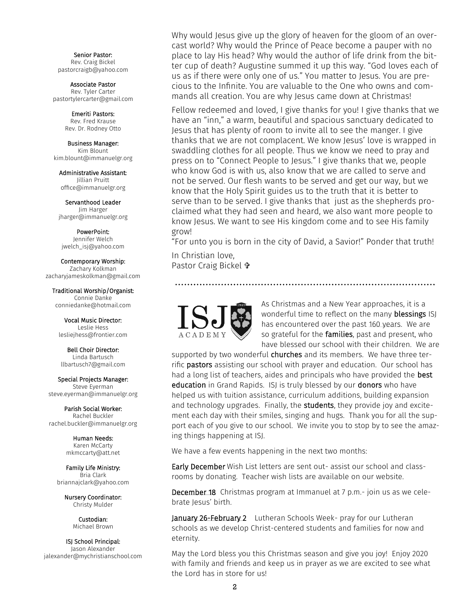Senior Pastor: Rev. Craig Bickel pastorcraigb@yahoo.com

Associate Pastor Rev. Tyler Carter pastortylercarter@gmail.com

> Emeriti Pastors: Rev. Fred Krause Rev. Dr. Rodney Otto

Business Manager: Kim Blount kim.blount@immanuelgr.org

Administrative Assistant: Jillian Pruitt office@immanuelgr.org

Servanthood Leader Jim Harger jharger@immanuelgr.org

PowerPoint: Jennifer Welch jwelch\_isj@yahoo.com

Contemporary Worship: Zachary Kolkman zacharyjameskolkman@gmail.com

Traditional Worship/Organist: Connie Danke conniedanke@hotmail.com

Vocal Music Director: Leslie Hess lesliejhess@frontier.com

Bell Choir Director: Linda Bartusch llbartusch7@gmail.com

Special Projects Manager: Steve Eyerman steve.eyerman@immanuelgr.org

Parish Social Worker: Rachel Buckler rachel.buckler@immanuelgr.org

> Human Needs: Karen McCarty mkmccarty@att.net

Family Life Ministry: Bria Clark briannajclark@yahoo.com

> Nursery Coordinator: Christy Mulder

> > Custodian: Michael Brown

ISJ School Principal: Jason Alexander jalexander@mychristianschool.com Why would Jesus give up the glory of heaven for the gloom of an overcast world? Why would the Prince of Peace become a pauper with no place to lay His head? Why would the author of life drink from the bitter cup of death? Augustine summed it up this way. "God loves each of us as if there were only one of us." You matter to Jesus. You are precious to the Infinite. You are valuable to the One who owns and commands all creation. You are why Jesus came down at Christmas!

Fellow redeemed and loved, I give thanks for you! I give thanks that we have an "inn," a warm, beautiful and spacious sanctuary dedicated to Jesus that has plenty of room to invite all to see the manger. I give thanks that we are not complacent. We know Jesus' love is wrapped in swaddling clothes for all people. Thus we know we need to pray and press on to "Connect People to Jesus." I give thanks that we, people who know God is with us, also know that we are called to serve and not be served. Our flesh wants to be served and get our way, but we know that the Holy Spirit guides us to the truth that it is better to serve than to be served. I give thanks that just as the shepherds proclaimed what they had seen and heard, we also want more people to know Jesus. We want to see His kingdom come and to see His family grow!

"For unto you is born in the city of David, a Savior!" Ponder that truth!

In Christian love, Pastor Craig Bickel



As Christmas and a New Year approaches, it is a wonderful time to reflect on the many **blessings** ISJ has encountered over the past 160 years. We are so grateful for the **families**, past and present, who have blessed our school with their children. We are

supported by two wonderful churches and its members. We have three terrific **pastors** assisting our school with prayer and education. Our school has had a long list of teachers, aides and principals who have provided the **best** education in Grand Rapids. ISJ is truly blessed by our donors who have helped us with tuition assistance, curriculum additions, building expansion and technology upgrades. Finally, the students, they provide joy and excitement each day with their smiles, singing and hugs. Thank you for all the support each of you give to our school. We invite you to stop by to see the amazing things happening at ISJ.

We have a few events happening in the next two months:

Early December Wish List letters are sent out- assist our school and classrooms by donating. Teacher wish lists are available on our website.

December 18 Christmas program at Immanuel at 7 p.m.- join us as we celebrate Jesus' birth.

January 26-February 2 Lutheran Schools Week- pray for our Lutheran schools as we develop Christ-centered students and families for now and eternity.

May the Lord bless you this Christmas season and give you joy! Enjoy 2020 with family and friends and keep us in prayer as we are excited to see what the Lord has in store for us!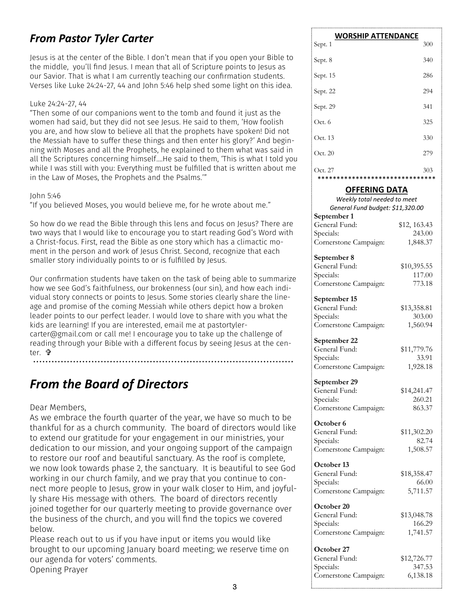#### *From Pastor Tyler Carter*

Jesus is at the center of the Bible. I don't mean that if you open your Bible to the middle, you'll find Jesus. I mean that all of Scripture points to Jesus as our Savior. That is what I am currently teaching our confirmation students. Verses like Luke 24:24-27, 44 and John 5:46 help shed some light on this idea.

#### Luke 24:24-27, 44

"Then some of our companions went to the tomb and found it just as the women had said, but they did not see Jesus. He said to them, 'How foolish you are, and how slow to believe all that the prophets have spoken! Did not the Messiah have to suffer these things and then enter his glory?' And beginning with Moses and all the Prophets, he explained to them what was said in all the Scriptures concerning himself….He said to them, 'This is what I told you while I was still with you: Everything must be fulfilled that is written about me in the Law of Moses, the Prophets and the Psalms.'"

#### John 5:46

"If you believed Moses, you would believe me, for he wrote about me."

So how do we read the Bible through this lens and focus on Jesus? There are two ways that I would like to encourage you to start reading God's Word with a Christ-focus. First, read the Bible as one story which has a climactic moment in the person and work of Jesus Christ. Second, recognize that each smaller story individually points to or is fulfilled by Jesus.

Our confirmation students have taken on the task of being able to summarize how we see God's faithfulness, our brokenness (our sin), and how each individual story connects or points to Jesus. Some stories clearly share the lineage and promise of the coming Messiah while others depict how a broken leader points to our perfect leader. I would love to share with you what the kids are learning! If you are interested, email me at pastortylercarter@gmail.com or call me! I encourage you to take up the challenge of reading through your Bible with a different focus by seeing Jesus at the center. **t**r

#### *From the Board of Directors*

Dear Members,

As we embrace the fourth quarter of the year, we have so much to be thankful for as a church community. The board of directors would like to extend our gratitude for your engagement in our ministries, your dedication to our mission, and your ongoing support of the campaign to restore our roof and beautiful sanctuary. As the roof is complete, we now look towards phase 2, the sanctuary. It is beautiful to see God working in our church family, and we pray that you continue to connect more people to Jesus, grow in your walk closer to Him, and joyfully share His message with others. The board of directors recently joined together for our quarterly meeting to provide governance over the business of the church, and you will find the topics we covered below.

Please reach out to us if you have input or items you would like brought to our upcoming January board meeting; we reserve time on our agenda for voters' comments. Opening Prayer

| <b>WORSHIP ATTENDANCE</b>                   |     |  |  |  |  |  |  |  |
|---------------------------------------------|-----|--|--|--|--|--|--|--|
| Sept. 1                                     | 300 |  |  |  |  |  |  |  |
| Sept. 8                                     | 340 |  |  |  |  |  |  |  |
| Sept. 15                                    | 286 |  |  |  |  |  |  |  |
| Sept. 22                                    | 294 |  |  |  |  |  |  |  |
| Sept. 29                                    | 341 |  |  |  |  |  |  |  |
| Oct. 6                                      | 325 |  |  |  |  |  |  |  |
| Oct. 13                                     | 330 |  |  |  |  |  |  |  |
| Oct. 20                                     | 279 |  |  |  |  |  |  |  |
| Oct. 27<br>******************************** | 303 |  |  |  |  |  |  |  |

\*\*\*\*\*\*\*\*\*\*\*\*\*\*\*\*\*\*\*\*\*\*\*\*\*\*\*\*\*\*\* **OFFERING DATA** *Weekly total needed to meet General Fund budget: \$11,320.00* **September 1** General Fund: \$12, 163.43 Specials: 243.00 Cornerstone Campaign: 1,848.37 **September 8** General Fund: \$10,395.55 Specials: 117.00 Cornerstone Campaign: 773.18 **September 15** General Fund: \$13,358.81 Specials: 303.00 Cornerstone Campaign: 1,560.94 **September 22** General Fund: \$11,779.76 Specials: 33.91 Cornerstone Campaign: 1,928.18 **September 29** General Fund: \$14,241.47 Specials: 260.21 Cornerstone Campaign: 863.37 **October 6** General Fund: \$11,302.20 Specials: 82.74 Cornerstone Campaign: 1,508.57 **October 13** General Fund: \$18,358.47 Specials: 66.00 Cornerstone Campaign: 5,711.57 **October 20** General Fund: \$13,048.78 Specials: 166.29 Cornerstone Campaign: 1,741.57 **October 27** General Fund: \$12,726.77 Specials: 347.53 Cornerstone Campaign: 6,138.18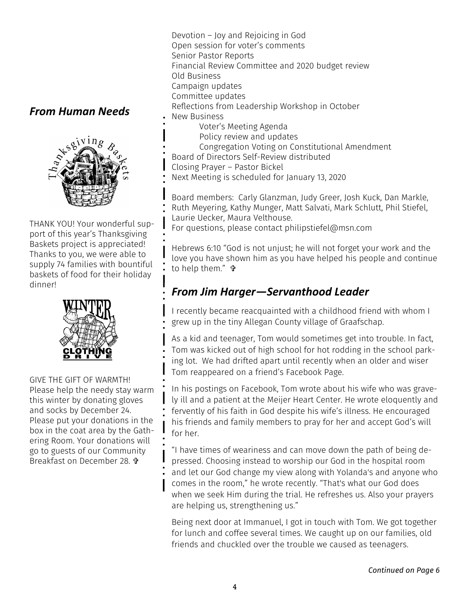#### *From Human Needs*



THANK YOU! Your wonderful support of this year's Thanksgiving Baskets project is appreciated! Thanks to you, we were able to supply 74 families with bountiful baskets of food for their holiday dinner!



GIVE THE GIFT OF WARMTH! Please help the needy stay warm this winter by donating gloves and socks by December 24. Please put your donations in the box in the coat area by the Gathering Room. Your donations will go to guests of our Community Breakfast on December 28.

Devotion – Joy and Rejoicing in God Open session for voter's comments Senior Pastor Reports Financial Review Committee and 2020 budget review Old Business Campaign updates Committee updates Reflections from Leadership Workshop in October New Business Voter's Meeting Agenda

- Policy review and updates
- Congregation Voting on Constitutional Amendment
- Board of Directors Self-Review distributed
- Closing Prayer Pastor Bickel
- Next Meeting is scheduled for January 13, 2020

Board members: Carly Glanzman, Judy Greer, Josh Kuck, Dan Markle, Ruth Meyering, Kathy Munger, Matt Salvati, Mark Schlutt, Phil Stiefel, Laurie Uecker, Maura Velthouse.

For questions, please contact philipstiefel@msn.com

Hebrews 6:10 "God is not unjust; he will not forget your work and the love you have shown him as you have helped his people and continue to help them."

#### *From Jim Harger—Servanthood Leader*

I recently became reacquainted with a childhood friend with whom I grew up in the tiny Allegan County village of Graafschap.

As a kid and teenager, Tom would sometimes get into trouble. In fact, Tom was kicked out of high school for hot rodding in the school parking lot. We had drifted apart until recently when an older and wiser Tom reappeared on a friend's Facebook Page.

In his postings on Facebook, Tom wrote about his wife who was gravely ill and a patient at the Meijer Heart Center. He wrote eloquently and fervently of his faith in God despite his wife's illness. He encouraged his friends and family members to pray for her and accept God's will for her.

"I have times of weariness and can move down the path of being depressed. Choosing instead to worship our God in the hospital room and let our God change my view along with Yolanda's and anyone who comes in the room," he wrote recently. "That's what our God does when we seek Him during the trial. He refreshes us. Also your prayers are helping us, strengthening us."

Being next door at Immanuel, I got in touch with Tom. We got together for lunch and coffee several times. We caught up on our families, old friends and chuckled over the trouble we caused as teenagers.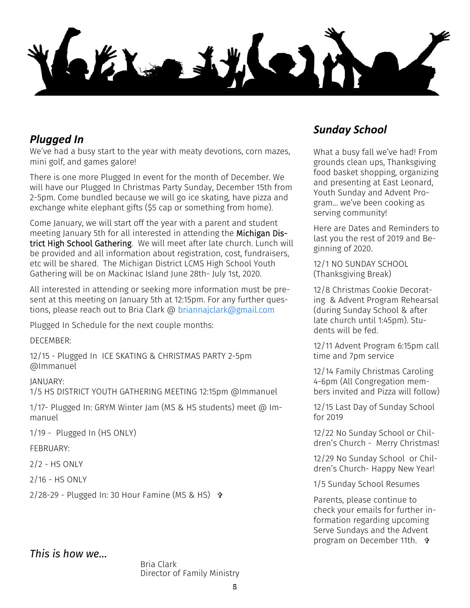#### *Plugged In*

We've had a busy start to the year with meaty devotions, corn mazes, mini golf, and games galore!

There is one more Plugged In event for the month of December. We will have our Plugged In Christmas Party Sunday, December 15th from 2-5pm. Come bundled because we will go ice skating, have pizza and exchange white elephant gifts (\$5 cap or something from home).

Come January, we will start off the year with a parent and student meeting January 5th for all interested in attending the Michigan District High School Gathering. We will meet after late church. Lunch will be provided and all information about registration, cost, fundraisers, etc will be shared. The Michigan District LCMS High School Youth Gathering will be on Mackinac Island June 28th- July 1st, 2020.

All interested in attending or seeking more information must be present at this meeting on January 5th at 12:15pm. For any further questions, please reach out to Bria Clark @ [briannajclark@gmail.com](mailto:briannajclark@gmail.com)

Plugged In Schedule for the next couple months:

DECEMBER:

12/15 - Plugged In ICE SKATING & CHRISTMAS PARTY 2-5pm @Immanuel

JANUARY:

1/5 HS DISTRICT YOUTH GATHERING MEETING 12:15pm @Immanuel

1/17- Plugged In: GRYM Winter Jam (MS & HS students) meet @ Immanuel

1/19 - Plugged In (HS ONLY)

FEBRUARY:

2/2 - HS ONLY

2/16 - HS ONLY

 $2/28-29$  - Plugged In: 30 Hour Famine (MS & HS)  $\Phi$ 

#### *This is how we…*

Bria Clark Director of Family Ministry

#### *Sunday School*

What a busy fall we've had! From grounds clean ups, Thanksgiving food basket shopping, organizing and presenting at East Leonard, Youth Sunday and Advent Program… we've been cooking as serving community!

Here are Dates and Reminders to last you the rest of 2019 and Beginning of 2020.

12/1 NO SUNDAY SCHOOL (Thanksgiving Break)

12/8 Christmas Cookie Decorating & Advent Program Rehearsal (during Sunday School & after late church until 1:45pm). Students will be fed.

12/11 Advent Program 6:15pm call time and 7pm service

12/14 Family Christmas Caroling 4-6pm (All Congregation members invited and Pizza will follow)

12/15 Last Day of Sunday School for 2019

12/22 No Sunday School or Children's Church - Merry Christmas!

12/29 No Sunday School or Children's Church- Happy New Year!

1/5 Sunday School Resumes

Parents, please continue to check your emails for further information regarding upcoming Serve Sundays and the Advent program on December 11th.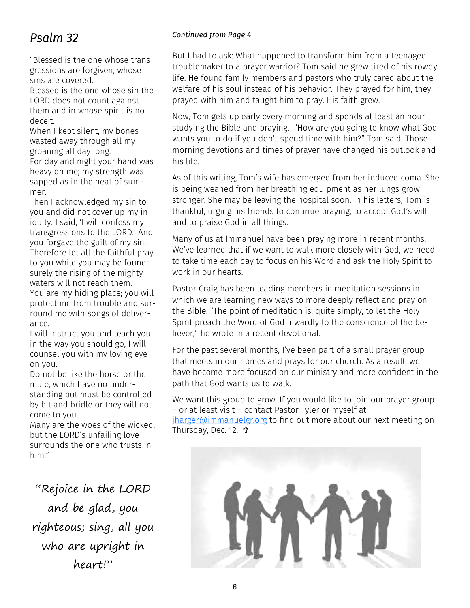#### *Psalm 32*

"Blessed is the one whose transgressions are forgiven, whose sins are covered.

Blessed is the one whose sin the LORD does not count against them and in whose spirit is no deceit.

When I kept silent, my bones wasted away through all my groaning all day long. For day and night your hand was heavy on me; my strength was sapped as in the heat of summer.

Then I acknowledged my sin to you and did not cover up my iniquity. I said, 'I will confess my transgressions to the LORD.' And you forgave the guilt of my sin. Therefore let all the faithful pray to you while you may be found; surely the rising of the mighty waters will not reach them. You are my hiding place; you will protect me from trouble and surround me with songs of deliverance.

I will instruct you and teach you in the way you should go; I will counsel you with my loving eye on you.

Do not be like the horse or the mule, which have no understanding but must be controlled by bit and bridle or they will not come to you.

Many are the woes of the wicked, but the LORD's unfailing love surrounds the one who trusts in him."

"Rejoice in the LORD and be glad, you righteous; sing, all you who are upright in heart!"

#### *Continued from Page 4*

But I had to ask: What happened to transform him from a teenaged troublemaker to a prayer warrior? Tom said he grew tired of his rowdy life. He found family members and pastors who truly cared about the welfare of his soul instead of his behavior. They prayed for him, they prayed with him and taught him to pray. His faith grew.

Now, Tom gets up early every morning and spends at least an hour studying the Bible and praying. "How are you going to know what God wants you to do if you don't spend time with him?" Tom said. Those morning devotions and times of prayer have changed his outlook and his life.

As of this writing, Tom's wife has emerged from her induced coma. She is being weaned from her breathing equipment as her lungs grow stronger. She may be leaving the hospital soon. In his letters, Tom is thankful, urging his friends to continue praying, to accept God's will and to praise God in all things.

Many of us at Immanuel have been praying more in recent months. We've learned that if we want to walk more closely with God, we need to take time each day to focus on his Word and ask the Holy Spirit to work in our hearts.

Pastor Craig has been leading members in meditation sessions in which we are learning new ways to more deeply reflect and pray on the Bible. "The point of meditation is, quite simply, to let the Holy Spirit preach the Word of God inwardly to the conscience of the believer," he wrote in a recent devotional.

For the past several months, I've been part of a small prayer group that meets in our homes and prays for our church. As a result, we have become more focused on our ministry and more confident in the path that God wants us to walk.

We want this group to grow. If you would like to join our prayer group – or at least visit – contact Pastor Tyler or myself at [jharger@immanuelgr.org](mailto:jharger@immanuelgr.org) to find out more about our next meeting on Thursday, Dec. 12.

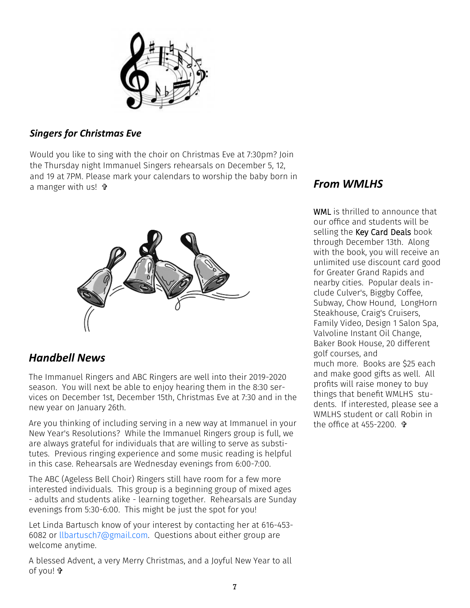

#### *Singers for Christmas Eve*

Would you like to sing with the choir on Christmas Eve at 7:30pm? Join the Thursday night Immanuel Singers rehearsals on December 5, 12, and 19 at 7PM. Please mark your calendars to worship the baby born in a manger with us! +



#### *Handbell News*

The Immanuel Ringers and ABC Ringers are well into their 2019-2020 season. You will next be able to enjoy hearing them in the 8:30 services on December 1st, December 15th, Christmas Eve at 7:30 and in the new year on January 26th.

Are you thinking of including serving in a new way at Immanuel in your New Year's Resolutions? While the Immanuel Ringers group is full, we are always grateful for individuals that are willing to serve as substitutes. Previous ringing experience and some music reading is helpful in this case. Rehearsals are Wednesday evenings from 6:00-7:00.

The ABC (Ageless Bell Choir) Ringers still have room for a few more interested individuals. This group is a beginning group of mixed ages - adults and students alike - learning together. Rehearsals are Sunday evenings from 5:30-6:00. This might be just the spot for you!

Let Linda Bartusch know of your interest by contacting her at 616-453- 6082 or [llbartusch7@gmail.com.](mailto:llbartusch7@gmail.com) Questions about either group are welcome anytime.

A blessed Advent, a very Merry Christmas, and a Joyful New Year to all of you!

#### *From WMLHS*

WML is thrilled to announce that our office and students will be selling the Key Card Deals book through December 13th. Along with the book, you will receive an unlimited use discount card good for Greater Grand Rapids and nearby cities. Popular deals include Culver's, Biggby Coffee, Subway, Chow Hound, LongHorn Steakhouse, Craig's Cruisers, Family Video, Design 1 Salon Spa, Valvoline Instant Oil Change, Baker Book House, 20 different golf courses, and much more. Books are \$25 each and make good gifts as well. All profits will raise money to buy things that benefit WMLHS students. If interested, please see a WMLHS student or call Robin in the office at  $455 - 2200$   $\frac{6}{10}$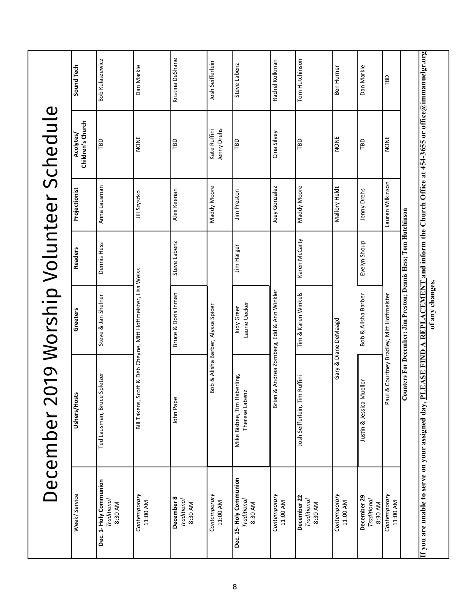|                                                                           | December 2                                                              | 019 Worship Volunteer Schedule                                                                                |                |                  |                                |                  |
|---------------------------------------------------------------------------|-------------------------------------------------------------------------|---------------------------------------------------------------------------------------------------------------|----------------|------------------|--------------------------------|------------------|
| Week/Service                                                              | Ushers/Hosts                                                            | Greeters                                                                                                      | <b>Readers</b> | Projectionist    | Children's Church<br>Acolytes/ | Sound Tech       |
| Dec. 1- Holy Communion<br>Traditional<br>8:30 AM                          | Spletzer<br>Ted Lausman, Bruce                                          | Steve & Jan Shelner                                                                                           | Dennis Hess    | Anna Lausman     | TBD                            | Bob Kulaszewicz  |
| Contemporary<br>11:00 AM                                                  | Bill Takens, Sc                                                         | ott & Deb Cheyne, Mitt Hoffmeister, Lisa Weiss                                                                |                | Jill Szyszko     | NONE                           | Dan Markle       |
| December 8<br><b>Traditional</b><br>8:30 AM                               | John Pape                                                               | Bruce & Doris Inman                                                                                           | Steve Labenz   | Alex Keenan      | TBD                            | Kristina DeShane |
| Contemporary<br>11:00 AM                                                  |                                                                         | Bob & Alisha Barber, Alyssa Spicer                                                                            |                | Maddy Moore      | Jenny Drehs<br>Kate Ruffini    | Josh Seifferlein |
| Dec. 15-Holy Communion<br>Traditional<br>8:30 AM                          | Mike Bisbee, Tim Haberling,<br>$\overline{\mathbf{N}}$<br>Therese Laben | Laurie Uecker<br>Judy Greer                                                                                   | Jim Harger     | Jim Preston      | TBD                            | Steve Labenz     |
| Contemporary<br>11:00 AM                                                  | Brian                                                                   | & Andrea Zomberg, Edd & Ann Winkler                                                                           |                | Joey Gonzalez    | Cina Silvey                    | Rachel Kolkman   |
| December 22<br>Traditional<br>8:30 AM                                     | Ruffini<br>Josh Seifferlein, Tim                                        | Tim & Karen Winkels                                                                                           | Karen McCarty  | Maddy Moore      | TBD                            | Tom Hutchinson   |
| Contemporary<br>11:00 AM                                                  |                                                                         | Gary & Diane DeMaagd                                                                                          |                | Mallory Heldt    | NONE                           | Ben Hurner       |
| December 29<br>Traditional<br>8:30 AM                                     | ueller<br>Justin & Jessica M                                            | Bob & Alisha Barber                                                                                           | Evelyn Shoup   | Jenny Drehs      | TBD                            | Dan Markle       |
| Contemporary<br>11:00 AM                                                  | Paul                                                                    | & Courtney Bradley, Mitt Hoffmeister                                                                          |                | Lauren Wilkinson | NONE                           | TBD              |
|                                                                           |                                                                         | Counters For December: Jim Preston; Demis Hess; Tom Hutchinson                                                |                |                  |                                |                  |
| If you are unable to serve on your assigned day, $\underline{\mathbf{P}}$ |                                                                         | LEASE FIND A REPLACEMENT and inform the Church Office at 454-3655 or office@immanuelgr.org<br>of any changes. |                |                  |                                |                  |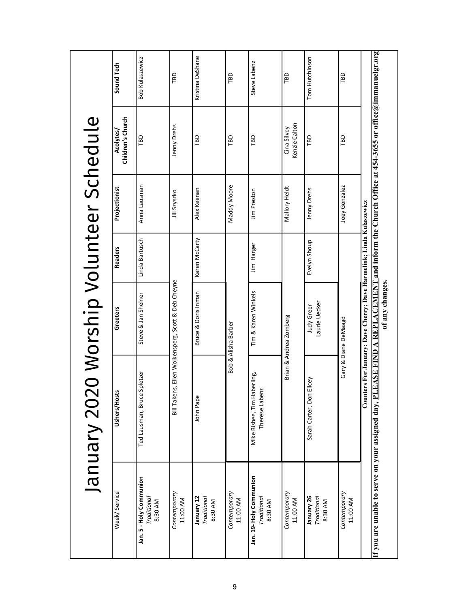|                                                     | January 2020 Worship Volunteer Schedule       |                                                                                         |                |               |                                                                               |                  |
|-----------------------------------------------------|-----------------------------------------------|-----------------------------------------------------------------------------------------|----------------|---------------|-------------------------------------------------------------------------------|------------------|
| Week/ Service                                       | 'n.<br>Ushers/Host                            | Greeters                                                                                | <b>Readers</b> | Projectionist | Children's Church<br>Acolytes/                                                | Sound Tech       |
| Jan. 5 - Holy Communion<br>Traditional<br>8:30 AM   | Spletzer<br>Ted Lausman, Bruce                | Steve & Jan Shelner                                                                     | Linda Bartusch | Anna Lausman  | TBD                                                                           | Bob Kulaszewicz  |
| Contemporary<br>11:00 AM                            |                                               | Bill Takens, Ellen Wolkensperg, Scott & Deb Cheyne                                      |                | Jill Szyszko  | Jenny Drehs                                                                   | TBD              |
| January 12<br>Traditional<br>8:30 AM                | John Pape                                     | Bruce & Doris Inman                                                                     | Karen McCarty  | Alex Keenan   | TBD                                                                           | Kristina DeShane |
| Contemporary<br>11:00 AM                            |                                               | Bob & Alisha Barber                                                                     |                | Maddy Moore   | TBD                                                                           | TBD              |
| Jan. 19- Holy Communion<br>Traditional<br>8:30 AM   | Mike Bisbee, Tim Haberling,<br>Therese Labenz | Tim & Karen Winkels                                                                     | Jim Harger     | Jim Preston   | ГBD                                                                           | Steve Labenz     |
| Contemporary<br>11:00 AM                            |                                               | Brian & Andrea Zomberg                                                                  |                | Mallory Heldt | Kenzie Calton<br>Cina Silvey                                                  | ГBD              |
| January 26<br>Traditional<br>8:30 AM                | Ellcey<br>Sarah Carter, Don                   | Laurie Uecker<br>Judy Greer                                                             | Evelyn Shoup   | Jenny Drehs   | TBD                                                                           | Tom Hutchinson   |
| Contemporary<br>11:00 AM                            |                                               | Gary & Diane DeMaagd                                                                    |                | Joey Gonzalez | ГBD                                                                           | TBD              |
| If you are unable to serve on your assigned day, Pl | <b>LEASE FIND A</b>                           | Counters For January: Dave Cherry; Dave Harmelink; Linda Kulaszewicz<br>of any changes. |                |               | REPLACEMENT and inform the Church Office at 454-3655 or office@immanuelgr.org |                  |

9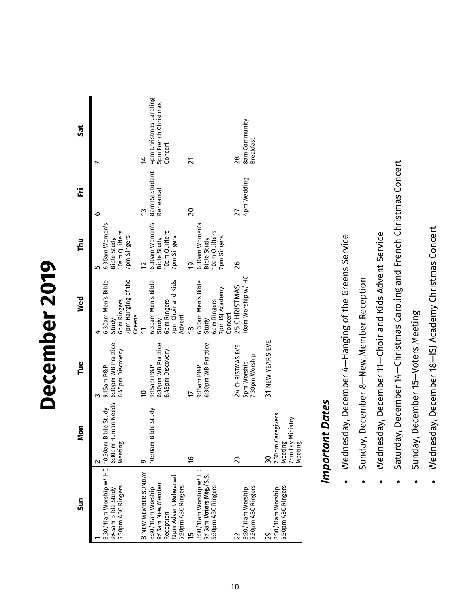# December 2019 **December 2019**

| Sun                                                                                                                       | Mon                                                                     | Tue                                                       | Wed                                                                                       | Thu                                                                        | Έ                                  | <b>Sat</b>                                                                 |
|---------------------------------------------------------------------------------------------------------------------------|-------------------------------------------------------------------------|-----------------------------------------------------------|-------------------------------------------------------------------------------------------|----------------------------------------------------------------------------|------------------------------------|----------------------------------------------------------------------------|
| 8:30/11am Worship w/ HC 10:30am<br>5:30pm ABC Ringers<br>9:45am Bible Study                                               | Human Needs<br><b>Bible Study</b><br>Meeting<br>6:30pm                  | 6:30pm WB Practice<br>6:45pm Discovery<br>9:15am P&P      | 6pm Ringers<br>7pm Hanging of the<br>6:30am Men's Bible<br>Greens<br>Study                | 6:30am Women's<br>Bible Study<br><b>IOam Quilters</b><br>7pm Singers<br>LO | စ                                  |                                                                            |
| 8 NEW MEMBER SUNDAY<br>12pm Advent Rehearsal<br>8:30/11am Worship<br>9:45am New Member<br>5:30pm ABC Ringers<br>Reception | Bible Study<br>0:30am                                                   | 6:30pm WB Practice<br>6:45pm Discovery<br>9:15am P&P<br>ă | 6:30am Men's Bible<br>6pm Ringers<br>7pm Choir and Kids<br>Advent<br>Study                | 6:30am Women's<br>Bible Study<br>IOam Quilters<br>7pm Singers<br>2         | 8am ISJ Student<br>Rehearsal<br>13 | 4pm Christmas Caroling<br>5pm French Christmas<br>Concert<br>$\frac{4}{1}$ |
| 8:30/11am Worship w/ HC<br>9:45am Voters Mtg./S.S.<br>5:30pm ABC Ringers<br>E                                             | $\frac{9}{5}$                                                           | 6:30pm WB Practice<br>9:15am P&P                          | 6:30am Men's Bible<br>6pm Ringers<br>7pm ISJ Academy<br>Concert<br>Study<br>$\frac{8}{5}$ | 6:30am Women's<br><b>10am Quilters</b><br>7pm Singers<br>Bible Study<br>ă  | 20                                 | $\overline{21}$                                                            |
| 5:30pm ABC Ringers<br>8:30/11am Worship                                                                                   | 23                                                                      | 24 CHRISTMAS EVE<br>7:30pm Worship<br><b>Spm Worship</b>  | 10am Worship w/ HC<br>25 CHRISTMAS                                                        | 26                                                                         | 4pm Wedding<br>27                  | <b>8am Community</b><br><b>Breakfast</b><br>28                             |
| 5:30pm ABC Ringers<br>8:30/11am Worship<br>29                                                                             | Caregivers<br>Ministry<br>Meeting<br>7pm Lay<br>Meeting<br>2:30pm<br>30 | 31 NEW YEARS EVE                                          |                                                                                           |                                                                            |                                    |                                                                            |

### **Important Dates** *Important Dates*

- Wednesday, December 4-Hanging of the Greens Service Wednesday, December 4—Hanging of the Greens Service •
- Sunday, December 8-New Member Reception Sunday, December 8—New Member Reception •
- Wednesday, December 11-Choir and Kids Advent Service Wednesday, December 11—Choir and Kids Advent Service •
- Saturday, December 14-Christmas Caroling and French Christmas Concert Saturday, December 14—Christmas Caroling and French Christmas Concert •
- Sunday, December 15-Voters Meeting Sunday, December 15—Voters Meeting •
- Wednesday, December 18-ISJ Academy Christmas Concert Wednesday, December 18—ISJ Academy Christmas Concert •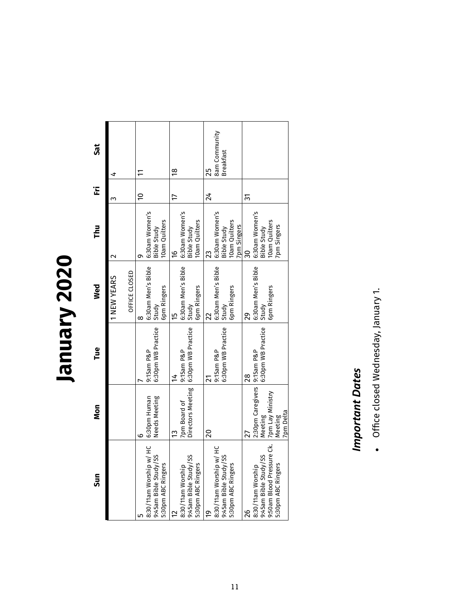# **January 2020**

| <b>JRS</b> | 4                  |               | $\Xi$       |                      |                                                 | $\frac{8}{2}$ |                    |                                       |                    | 25             | 8am Community                 | <b>Breakfast</b>          |                    |             |                 |                               |                          |               |                      |
|------------|--------------------|---------------|-------------|----------------------|-------------------------------------------------|---------------|--------------------|---------------------------------------|--------------------|----------------|-------------------------------|---------------------------|--------------------|-------------|-----------------|-------------------------------|--------------------------|---------------|----------------------|
| Έ          | ω                  |               | $\tilde{a}$ |                      |                                                 | 17            |                    |                                       |                    | 24             |                               |                           |                    |             | 31              |                               |                          |               |                      |
| <b>Thu</b> | $\scriptstyle\sim$ |               | ە           | 6:30am Women's       | 10am Quilters<br>Bible Study                    | $\frac{6}{2}$ | 6:30am Women's     | Bible Study                           | 10am Quilters      | 23             | 6:30am Women's<br>Bible Study |                           | 10am Quilters      | 7pm Singers | <u>ခ</u>        | 6:30am Women's<br>Bible Study |                          | 10am Quilters | 7pm Singers          |
| Wed        | 1 NEW YEARS        | OFFICE CLOSED | ∞           | 6:30am Men's Bible   | 6pm Ringers<br>Study                            | 15            | 6:30am Men's Bible |                                       | 6pm Ringers        | 22             | 6:30am Men's Bible            | Study                     | 6pm Ringers        |             | న్లి            | 6:30am Men's Bible            |                          | 6pm Ringers   |                      |
| Tue        |                    |               |             | 9:15am P&P           | 6:30pm WB Practice                              | $\frac{4}{5}$ | 9:15am P&P         | 6:30pm WB Practice Study              |                    | 21             | 9:15am P&P                    | 6:30pm WB Practice        |                    |             | $\overline{28}$ |                               | 6:30pm WB Practice Study |               |                      |
| Mon        |                    |               | ဖ           | w/ HC   6:30pm Human | Needs Meeting                                   | 13            | 7pm Board of       | Directors Meeting                     |                    | $\overline{c}$ |                               |                           |                    |             | 27              | 2:30pm Caregivers 9:15am P&P  |                          |               | 7pm Delta<br>Meeting |
| Sun        |                    |               |             | 8:30/11am Worship    | /55<br>5:30pm ABC Ringers<br>9:45am Bible Study | ₽             | 8:30/11am Worship  | $\overline{ss}$<br>9:45am Bible Study | 5:30pm ABC Ringers | <u>p</u>       | M/HC<br>8:30/11am Worship     | /SS<br>9:45am Bible Study | 5:30pm ABC Ringers |             | 26              |                               |                          |               | 5:30pm ABC Ringers   |

## **Important Dates** *Important Dates*

• Office closed Wednesday, January 1. Office closed Wednesday, January 1.